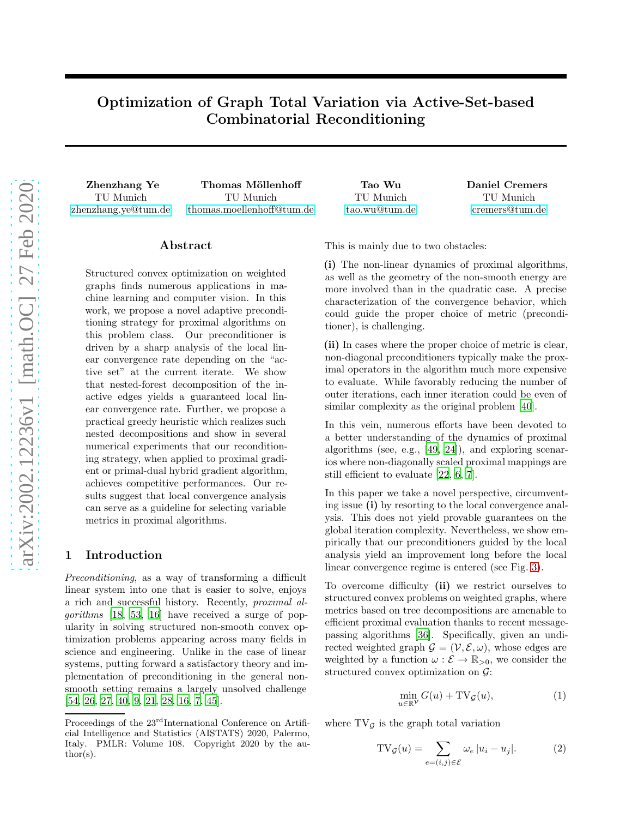# Optimization of Graph Total Variation via Active-Set-based Combinatorial Reconditioning

Zhenzhang Ye Thomas Möllenhoff Tao Wu Daniel Cremers TU Munich [zhenzhang.ye@tum.de](mailto:zhenzhang.ye@tum.de)

TU Munich [thomas.moellenhoff@tum.de](mailto:thomas.moellenhoff@tum.de)

# ${\rm Abstract}$

Structured convex optimization on weighted graphs finds numerous applications in machine learning and computer vision. In this work, we propose a novel adaptive preconditioning strategy for proximal algorithms on this problem class. Our preconditioner is driven by a sharp analysis of the local linear convergence rate depending on the "active set" at the current iterate. We show that nested-forest decomposition of the inactive edges yields a guaranteed local linear convergence rate. Further, we propose a practical greedy heuristic which realizes such nested decompositions and show in several numerical experiments that our reconditioning strategy, when applied to proximal gradient or primal-dual hybrid gradient algorithm, achieves competitive performances. Our results suggest that local convergence analysis can serve as a guideline for selecting variable metrics in proximal algorithms.

## 1 Introduction

Preconditioning, as a way of transforming a difficult linear system into one that is easier to solve, enjoys a rich and successful history. Recently, proximal algorithms [\[18,](#page-8-0) [53,](#page-9-0) [16\]](#page-8-1) have received a surge of popularity in solving structured non-smooth convex optimization problems appearing across many fields in science and engineering. Unlike in the case of linear systems, putting forward a satisfactory theory and implementation of preconditioning in the general nonsmooth setting remains a largely unsolved challenge [\[54,](#page-10-0) [26,](#page-8-2) [27,](#page-8-3) [40,](#page-9-1) [9,](#page-8-4) [21,](#page-8-5) [28](#page-9-2), [16](#page-8-1), [7](#page-8-6), [45](#page-9-3)].

| Tao Wu        |  |
|---------------|--|
| TU Munich     |  |
| tao.wu@tum.de |  |

TU Munich [cremers@tum.de](mailto:cremers@tum.de)

This is mainly due to two obstacles:

(i) The non-linear dynamics of proximal algorithms, as well as the geometry of the non-smooth energy are more involved than in the quadratic case. A precise characterization of the convergence behavior, which could guide the proper choice of metric (preconditioner), is challenging.

(ii) In cases where the proper choice of metric is clear, non-diagonal preconditioners typically make the proximal operators in the algorithm much more expensive to evaluate. While favorably reducing the number of outer iterations, each inner iteration could be even of similar complexity as the original problem [\[40](#page-9-1)].

In this vein, numerous efforts have been devoted to a better understanding of the dynamics of proximal algorithms (see, e.g., [\[49](#page-9-4), [24](#page-8-7)]), and exploring scenarios where non-diagonally scaled proximal mappings are still efficient to evaluate [\[22](#page-8-8), [6](#page-8-9), [7](#page-8-6)].

In this paper we take a novel perspective, circumventing issue (i) by resorting to the local convergence analysis. This does not yield provable guarantees on the global iteration complexity. Nevertheless, we show empirically that our preconditioners guided by the local analysis yield an improvement long before the local linear convergence regime is entered (see Fig. [3\)](#page-6-0).

To overcome difficulty (ii) we restrict ourselves to structured convex problems on weighted graphs, where metrics based on tree decompositions are amenable to efficient proximal evaluation thanks to recent messagepassing algorithms [\[36\]](#page-9-5). Specifically, given an undirected weighted graph  $\mathcal{G} = (\mathcal{V}, \mathcal{E}, \omega)$ , whose edges are weighted by a function  $\omega : \mathcal{E} \to \mathbb{R}_{>0}$ , we consider the structured convex optimization on G:

<span id="page-0-0"></span>
$$
\min_{u \in \mathbb{R}^{\mathcal{V}}} G(u) + \mathrm{TV}_{\mathcal{G}}(u),\tag{1}
$$

where  $TV_G$  is the graph total variation

$$
TV_{\mathcal{G}}(u) = \sum_{e=(i,j)\in \mathcal{E}} \omega_e |u_i - u_j|.
$$
 (2)

Proceedings of the  $23<sup>rd</sup>$ International Conference on Artificial Intelligence and Statistics (AISTATS) 2020, Palermo, Italy. PMLR: Volume 108. Copyright 2020 by the author(s).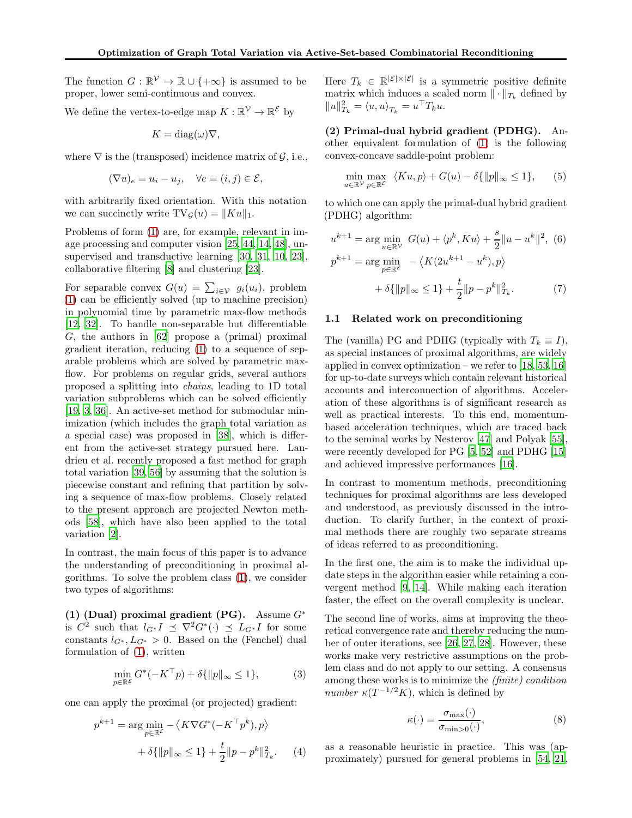The function  $G : \mathbb{R}^{\mathcal{V}} \to \mathbb{R} \cup \{+\infty\}$  is assumed to be proper, lower semi-continuous and convex.

We define the vertex-to-edge map  $K : \mathbb{R}^{\mathcal{V}} \to \mathbb{R}^{\mathcal{E}}$  by

$$
K = \text{diag}(\omega)\nabla,
$$

where  $\nabla$  is the (transposed) incidence matrix of  $\mathcal{G}$ , i.e.,

$$
(\nabla u)_e = u_i - u_j, \quad \forall e = (i, j) \in \mathcal{E},
$$

with arbitrarily fixed orientation. With this notation we can succinctly write  $TV_{\mathcal{G}}(u) = ||Ku||_1$ .

Problems of form [\(1\)](#page-0-0) are, for example, relevant in image processing and computer vision [\[25](#page-8-10), [44,](#page-9-6) [14,](#page-8-11) [48\]](#page-9-7), unsupervised and transductive learning [\[30,](#page-9-8) [31](#page-9-9), [10,](#page-8-12) [23\]](#page-8-13), collaborative filtering [\[8\]](#page-8-14) and clustering [\[23\]](#page-8-13).

For separable convex  $G(u) = \sum_{i \in \mathcal{V}} g_i(u_i)$ , problem [\(1\)](#page-0-0) can be efficiently solved (up to machine precision) in polynomial time by parametric max-flow methods [\[12,](#page-8-15) [32](#page-9-10)]. To handle non-separable but differentiable G, the authors in [\[62\]](#page-10-1) propose a (primal) proximal gradient iteration, reducing [\(1\)](#page-0-0) to a sequence of separable problems which are solved by parametric maxflow. For problems on regular grids, several authors proposed a splitting into chains, leading to 1D total variation subproblems which can be solved efficiently [\[19,](#page-8-16) [3,](#page-8-17) [36\]](#page-9-5). An active-set method for submodular minimization (which includes the graph total variation as a special case) was proposed in [\[38\]](#page-9-11), which is different from the active-set strategy pursued here. Landrieu et al. recently proposed a fast method for graph total variation [\[39,](#page-9-12) [56](#page-10-2)] by assuming that the solution is piecewise constant and refining that partition by solving a sequence of max-flow problems. Closely related to the present approach are projected Newton methods [\[58\]](#page-10-3), which have also been applied to the total variation [\[2](#page-8-18)].

In contrast, the main focus of this paper is to advance the understanding of preconditioning in proximal algorithms. To solve the problem class [\(1\)](#page-0-0), we consider two types of algorithms:

(1) (Dual) proximal gradient (PG). Assume  $G^*$ is  $C^2$  such that  $l_{G^*}I \preceq \nabla^2 G^*(\cdot) \preceq L_{G^*}I$  for some constants  $l_{G^*}, L_{G^*} > 0$ . Based on the (Fenchel) dual formulation of [\(1\)](#page-0-0), written

$$
\min_{p \in \mathbb{R}^{\mathcal{E}}} G^*(-K^{\top}p) + \delta\{\|p\|_{\infty} \le 1\},\tag{3}
$$

one can apply the proximal (or projected) gradient:

$$
p^{k+1} = \arg\min_{p \in \mathbb{R}^{\mathcal{E}}} - \langle K\nabla G^*(-K^{\top}p^k), p \rangle
$$

$$
+ \delta{\{\|p\|_{\infty} \le 1\}} + \frac{t}{2} \|p - p^k\|_{T_k}^2. \tag{4}
$$

Here  $T_k \in \mathbb{R}^{|\mathcal{E}| \times |\mathcal{E}|}$  is a symmetric positive definite matrix which induces a scaled norm  $\|\cdot\|_{T_k}$  defined by  $||u||_{T_k}^2 = \langle u, u \rangle_{T_k} = u^{\top} T_k u.$ 

(2) Primal-dual hybrid gradient (PDHG). Another equivalent formulation of [\(1\)](#page-0-0) is the following convex-concave saddle-point problem:

$$
\min_{u \in \mathbb{R}^{\mathcal{V}}} \max_{p \in \mathbb{R}^{\mathcal{E}}} \langle Ku, p \rangle + G(u) - \delta \{ ||p||_{\infty} \le 1 \}, \qquad (5)
$$

to which one can apply the primal-dual hybrid gradient (PDHG) algorithm:

<span id="page-1-2"></span>
$$
u^{k+1} = \arg\min_{u \in \mathbb{R}^{\mathcal{V}}} G(u) + \langle p^k, Ku \rangle + \frac{s}{2} ||u - u^k||^2, \tag{6}
$$
  

$$
p^{k+1} = \arg\min_{p \in \mathbb{R}^{\mathcal{E}}} - \langle K(2u^{k+1} - u^k), p \rangle
$$
  

$$
+ \delta{||p||_{\infty} \le 1} + \frac{t}{2} ||p - p^k||_{T_k}^2. \tag{7}
$$

## 1.1 Related work on preconditioning

The (vanilla) PG and PDHG (typically with  $T_k \equiv I$ ), as special instances of proximal algorithms, are widely applied in convex optimization – we refer to  $[18, 53, 16]$  $[18, 53, 16]$  $[18, 53, 16]$  $[18, 53, 16]$  $[18, 53, 16]$ for up-to-date surveys which contain relevant historical accounts and interconnection of algorithms. Acceleration of these algorithms is of significant research as well as practical interests. To this end, momentumbased acceleration techniques, which are traced back to the seminal works by Nesterov [\[47\]](#page-9-13) and Polyak [\[55\]](#page-10-4), were recently developed for PG [\[5,](#page-8-19) [52](#page-9-14)] and PDHG [\[15](#page-8-20)] and achieved impressive performances [\[16\]](#page-8-1).

In contrast to momentum methods, preconditioning techniques for proximal algorithms are less developed and understood, as previously discussed in the introduction. To clarify further, in the context of proximal methods there are roughly two separate streams of ideas referred to as preconditioning.

In the first one, the aim is to make the individual update steps in the algorithm easier while retaining a convergent method [\[9](#page-8-4), [14\]](#page-8-11). While making each iteration faster, the effect on the overall complexity is unclear.

<span id="page-1-1"></span>The second line of works, aims at improving the theoretical convergence rate and thereby reducing the number of outer iterations, see [\[26,](#page-8-2) [27,](#page-8-3) [28\]](#page-9-2). However, these works make very restrictive assumptions on the problem class and do not apply to our setting. A consensus among these works is to minimize the (finite) condition *number*  $\kappa(T^{-1/2}K)$ , which is defined by

$$
\kappa(\cdot) = \frac{\sigma_{\max}(\cdot)}{\sigma_{\min > 0}(\cdot)},\tag{8}
$$

<span id="page-1-0"></span>as a reasonable heuristic in practice. This was (approximately) pursued for general problems in [\[54](#page-10-0), [21,](#page-8-5)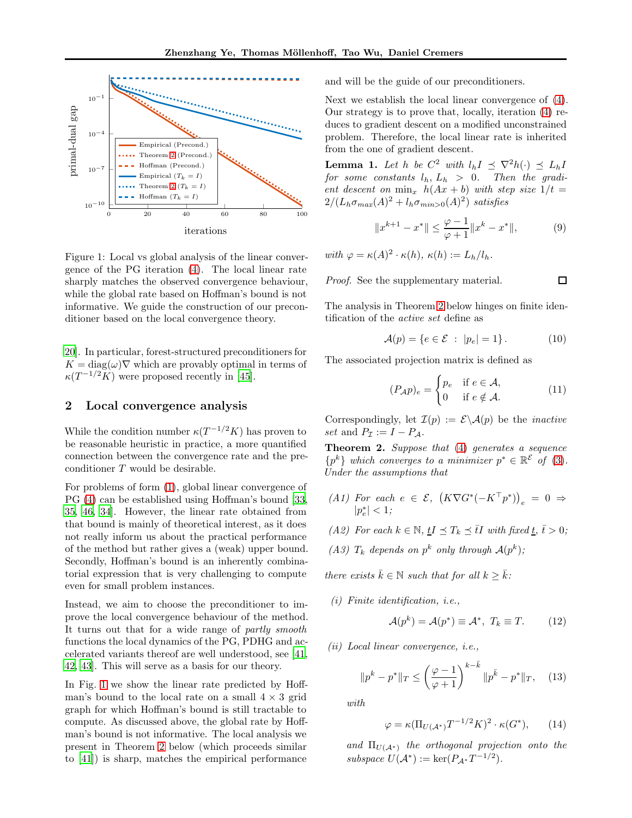

<span id="page-2-1"></span>Figure 1: Local vs global analysis of the linear convergence of the PG iteration [\(4\)](#page-1-0). The local linear rate sharply matches the observed convergence behaviour, while the global rate based on Hoffman's bound is not informative. We guide the construction of our preconditioner based on the local convergence theory.

[20\]](#page-8-21). In particular, forest-structured preconditioners for  $K = \text{diag}(\omega) \nabla$  which are provably optimal in terms of  $\kappa(T^{-1/2}K)$  were proposed recently in [\[45\]](#page-9-3).

## 2 Local convergence analysis

While the condition number  $\kappa(T^{-1/2}K)$  has proven to be reasonable heuristic in practice, a more quantified connection between the convergence rate and the preconditioner T would be desirable.

For problems of form [\(1\)](#page-0-0), global linear convergence of PG [\(4\)](#page-1-0) can be established using Hoffman's bound [\[33,](#page-9-15) [35,](#page-9-16) [46,](#page-9-17) [34](#page-9-18)]. However, the linear rate obtained from that bound is mainly of theoretical interest, as it does not really inform us about the practical performance of the method but rather gives a (weak) upper bound. Secondly, Hoffman's bound is an inherently combinatorial expression that is very challenging to compute even for small problem instances.

Instead, we aim to choose the preconditioner to improve the local convergence behaviour of the method. It turns out that for a wide range of partly smooth functions the local dynamics of the PG, PDHG and accelerated variants thereof are well understood, see [\[41,](#page-9-19) [42,](#page-9-20) [43\]](#page-9-21). This will serve as a basis for our theory.

In Fig. [1](#page-2-1) we show the linear rate predicted by Hoffman's bound to the local rate on a small  $4 \times 3$  grid graph for which Hoffman's bound is still tractable to compute. As discussed above, the global rate by Hoffman's bound is not informative. The local analysis we present in Theorem [2](#page-2-0) below (which proceeds similar to [\[41\]](#page-9-19)) is sharp, matches the empirical performance and will be the guide of our preconditioners.

Next we establish the local linear convergence of [\(4\)](#page-1-0). Our strategy is to prove that, locally, iteration [\(4\)](#page-1-0) reduces to gradient descent on a modified unconstrained problem. Therefore, the local linear rate is inherited from the one of gradient descent.

**Lemma 1.** Let h be  $C^2$  with  $l_h I \preceq \nabla^2 h(\cdot) \preceq L_h I$ for some constants  $l_h$ ,  $L_h > 0$ . Then the gradient descent on  $\min_x h(Ax + b)$  with step size  $1/t =$  $2/(L_h \sigma_{max}(A)^2 + l_h \sigma_{min>0}(A)^2)$  satisfies

$$
||x^{k+1} - x^*|| \le \frac{\varphi - 1}{\varphi + 1} ||x^k - x^*||, \tag{9}
$$

with  $\varphi = \kappa(A)^2 \cdot \kappa(h)$ ,  $\kappa(h) := L_h / l_h$ .

Proof. See the supplementary material.

The analysis in Theorem [2](#page-2-0) below hinges on finite identification of the active set define as

$$
\mathcal{A}(p) = \{ e \in \mathcal{E} \; : \; |p_e| = 1 \}. \tag{10}
$$

The associated projection matrix is defined as

$$
(P_A p)_e = \begin{cases} p_e & \text{if } e \in \mathcal{A}, \\ 0 & \text{if } e \notin \mathcal{A}. \end{cases} \tag{11}
$$

Correspondingly, let  $\mathcal{I}(p) := \mathcal{E} \backslash \mathcal{A}(p)$  be the *inactive* set and  $P_{\mathcal{I}} := I - P_{\mathcal{A}}$ .

Theorem 2. Suppose that [\(4\)](#page-1-0) generates a sequence  $\{p^k\}$  which converges to a minimizer  $p^* \in \mathbb{R}^{\mathcal{E}}$  of [\(3\)](#page-1-1). Under the assumptions that

- <span id="page-2-2"></span>(A1) For each  $e \in \mathcal{E}, \ (K\nabla G^*(-K^\top p^*))_e = 0 \Rightarrow$  $|p_e^*| < 1;$
- <span id="page-2-4"></span><span id="page-2-3"></span>(A2) For each  $k \in \mathbb{N}$ ,  $tI \preceq T_k \preceq \overline{t}I$  with fixed  $t, \overline{t} > 0$ ;
- (A3)  $T_k$  depends on  $p^k$  only through  $\mathcal{A}(p^k)$ ;

there exists  $\bar{k} \in \mathbb{N}$  such that for all  $k > \bar{k}$ :

(i) Finite identification, i.e.,

$$
\mathcal{A}(p^k) = \mathcal{A}(p^*) \equiv \mathcal{A}^*, \ T_k \equiv T. \tag{12}
$$

(ii) Local linear convergence, i.e.,

$$
||p^{k} - p^{*}||_{T} \le \left(\frac{\varphi - 1}{\varphi + 1}\right)^{k - \bar{k}} ||p^{\bar{k}} - p^{*}||_{T}, \quad (13)
$$

with

<span id="page-2-0"></span>
$$
\varphi = \kappa(\Pi_{U(\mathcal{A}^*)} T^{-1/2} K)^2 \cdot \kappa(G^*), \qquad (14)
$$

and  $\Pi_{U(\mathcal{A}^*)}$  the orthogonal projection onto the subspace  $U(\mathcal{A}^*) := \ker(P_{\mathcal{A}^*}T^{-1/2}).$ 

 $\Box$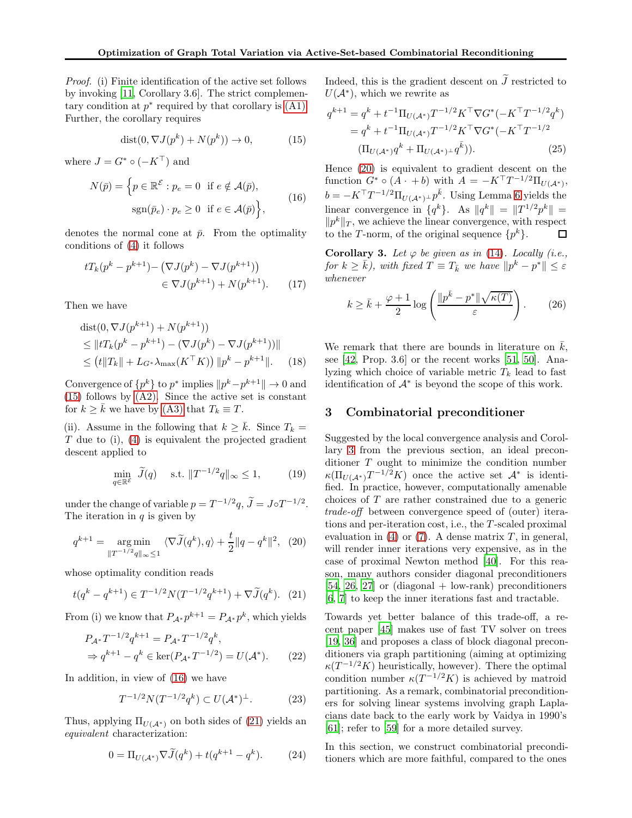Proof. (i) Finite identification of the active set follows by invoking [\[11,](#page-8-22) Corollary 3.6]. The strict complementary condition at  $p^*$  required by that corollary is  $(A1)$ . Further, the corollary requires

<span id="page-3-0"></span>
$$
dist(0, \nabla J(p^k) + N(p^k)) \to 0,
$$
\n(15)

where  $J = G^* \circ (-K^{\top})$  and

<span id="page-3-1"></span>
$$
N(\bar{p}) = \left\{ p \in \mathbb{R}^{\mathcal{E}} : p_e = 0 \text{ if } e \notin \mathcal{A}(\bar{p}), \right\}
$$

$$
\text{sgn}(\bar{p}_e) \cdot p_e \ge 0 \text{ if } e \in \mathcal{A}(\bar{p}) \right\},\tag{16}
$$

denotes the normal cone at  $\bar{p}$ . From the optimality conditions of [\(4\)](#page-1-0) it follows

$$
tT_k(p^k - p^{k+1}) - (\nabla J(p^k) - \nabla J(p^{k+1}))
$$
  

$$
\in \nabla J(p^{k+1}) + N(p^{k+1}). \tag{17}
$$

Then we have

dist
$$
(0, \nabla J(p^{k+1}) + N(p^{k+1}))
$$
  
\n $\leq ||tT_k(p^k - p^{k+1}) - (\nabla J(p^k) - \nabla J(p^{k+1}))||$   
\n $\leq (t||T_k|| + L_{G^*} \lambda_{\max}(K^{\top} K)) ||p^k - p^{k+1}||.$  (18)

Convergence of  $\{p^k\}$  to  $p^*$  implies  $\|p^k-p^{k+1}\| \to 0$  and [\(15\)](#page-3-0) follows by [\(A2\).](#page-2-3) Since the active set is constant for  $k \geq \overline{k}$  we have by [\(A3\)](#page-2-4) that  $T_k \equiv T$ .

(ii). Assume in the following that  $k > \bar{k}$ . Since  $T_k =$  $T$  due to (i), [\(4\)](#page-1-0) is equivalent the projected gradient descent applied to

$$
\min_{q \in \mathbb{R}^{\mathcal{E}}} \widetilde{J}(q) \quad \text{s.t. } \|T^{-1/2}q\|_{\infty} \le 1,\tag{19}
$$

under the change of variable  $p = T^{-1/2}q$ ,  $\tilde{J} = J \circ T^{-1/2}$ . The iteration in  $q$  is given by

$$
q^{k+1} = \underset{\|T^{-1/2}q\|_{\infty} \le 1}{\arg \min} \langle \nabla \widetilde{J}(q^k), q \rangle + \frac{t}{2} \|q - q^k\|^2, \quad (20)
$$

whose optimality condition reads

$$
t(q^{k} - q^{k+1}) \in T^{-1/2}N(T^{-1/2}q^{k+1}) + \nabla \widetilde{J}(q^{k}). \tag{21}
$$

From (i) we know that  $P_{A^*} p^{k+1} = P_{A^*} p^k$ , which yields

$$
P_{\mathcal{A}^*} T^{-1/2} q^{k+1} = P_{\mathcal{A}^*} T^{-1/2} q^k,
$$
  
\n
$$
\Rightarrow q^{k+1} - q^k \in \ker(P_{\mathcal{A}^*} T^{-1/2}) = U(\mathcal{A}^*).
$$
 (22)

In addition, in view of [\(16\)](#page-3-1) we have

$$
T^{-1/2}N(T^{-1/2}q^k) \subset U(\mathcal{A}^*)^{\perp}.
$$
 (23)

Thus, applying  $\Pi_{U(\mathcal{A}^*)}$  on both sides of [\(21\)](#page-3-2) yields an equivalent characterization:

$$
0 = \Pi_{U(\mathcal{A}^*)} \nabla \widetilde{J}(q^k) + t(q^{k+1} - q^k). \tag{24}
$$

Indeed, this is the gradient descent on  $\widetilde{J}$  restricted to  $U(\mathcal{A}^*)$ , which we rewrite as

$$
q^{k+1} = q^k + t^{-1} \Pi_{U(\mathcal{A}^*)} T^{-1/2} K^\top \nabla G^* (-K^\top T^{-1/2} q^k)
$$
  
=  $q^k + t^{-1} \Pi_{U(\mathcal{A}^*)} T^{-1/2} K^\top \nabla G^* (-K^\top T^{-1/2})$   

$$
(\Pi_{U(\mathcal{A}^*)} q^k + \Pi_{U(\mathcal{A}^*)} q^k)).
$$
 (25)

Hence [\(20\)](#page-3-3) is equivalent to gradient descent on the function  $G^* \circ (A \cdot + b)$  with  $A = -K^{\top}T^{-1/2} \Pi_{U(\mathcal{A}^*)}$ ,  $b = -K^{\top}T^{-1/2}\Pi_{U(\mathcal{A}^*)^{\perp}}p^{\bar{k}}.$  Using Lemma [6](#page-11-0) yields the linear convergence in  $\{q^k\}$ . As  $||q^k|| = ||T^{1/2}p^k|| =$  $||p^k||_T$ , we achieve the linear convergence, with respect to the T-norm, of the original sequence  $\{p^k\}.$ 

Corollary 3. Let  $\varphi$  be given as in [\(14\)](#page-2-0). Locally (i.e., for  $k \geq \overline{k}$ ), with fixed  $T \equiv T_{\overline{k}}$  we have  $||p^k - p^*|| \leq \varepsilon$ whenever

<span id="page-3-4"></span>
$$
k \ge \bar{k} + \frac{\varphi + 1}{2} \log \left( \frac{\|p^{\bar{k}} - p^*\| \sqrt{\kappa(T)}}{\varepsilon} \right). \tag{26}
$$

We remark that there are bounds in literature on  $\bar{k}$ , see [\[42,](#page-9-20) Prop. 3.6] or the recent works [\[51,](#page-9-22) [50\]](#page-9-23). Analyzing which choice of variable metric  $T_k$  lead to fast identification of  $A^*$  is beyond the scope of this work.

## 3 Combinatorial preconditioner

Suggested by the local convergence analysis and Corollary [3](#page-3-4) from the previous section, an ideal preconditioner T ought to minimize the condition number  $\kappa(\Pi_{U(\mathcal{A}^*)}T^{-1/2}K)$  once the active set  $\mathcal{A}^*$  is identified. In practice, however, computationally amenable choices of T are rather constrained due to a generic trade-off between convergence speed of (outer) iterations and per-iteration cost, i.e., the T -scaled proximal evaluation in [\(4\)](#page-1-0) or [\(7\)](#page-1-2). A dense matrix  $T$ , in general, will render inner iterations very expensive, as in the case of proximal Newton method [\[40\]](#page-9-1). For this reason, many authors consider diagonal preconditioners [\[54,](#page-10-0) [26,](#page-8-2) [27](#page-8-3)] or (diagonal  $+$  low-rank) preconditioners [\[6,](#page-8-9) [7\]](#page-8-6) to keep the inner iterations fast and tractable.

<span id="page-3-3"></span><span id="page-3-2"></span>Towards yet better balance of this trade-off, a recent paper [\[45\]](#page-9-3) makes use of fast TV solver on trees [\[19,](#page-8-16) [36\]](#page-9-5) and proposes a class of block diagonal preconditioners via graph partitioning (aiming at optimizing  $\kappa(T^{-1/2}K)$  heuristically, however). There the optimal condition number  $\kappa(T^{-1/2}K)$  is achieved by matroid partitioning. As a remark, combinatorial preconditioners for solving linear systems involving graph Laplacians date back to the early work by Vaidya in 1990's [\[61\]](#page-10-5); refer to [\[59\]](#page-10-6) for a more detailed survey.

In this section, we construct combinatorial preconditioners which are more faithful, compared to the ones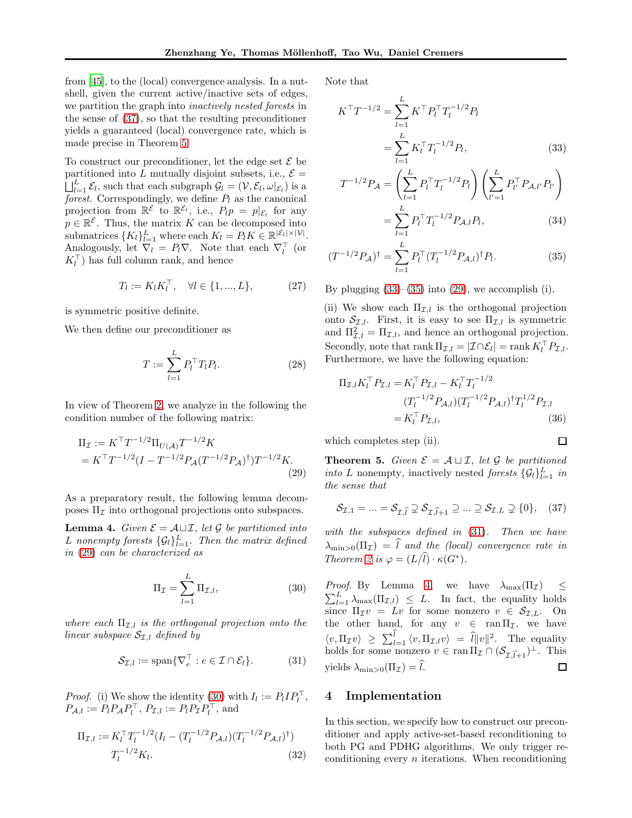from [\[45\]](#page-9-3), to the (local) convergence analysis. In a nutshell, given the current active/inactive sets of edges, we partition the graph into inactively nested forests in the sense of [\(37\)](#page-4-0), so that the resulting preconditioner yields a guaranteed (local) convergence rate, which is made precise in Theorem [5.](#page-4-1)

To construct our preconditioner, let the edge set  $\mathcal E$  be partitioned into L mutually disjoint subsets, i.e.,  $\mathcal{E} =$  $\iint_{l=1}^{L} \mathcal{E}_l$ , such that each subgraph  $\mathcal{G}_l = (\mathcal{V}, \mathcal{E}_l, \omega|_{\mathcal{E}_l})$  is a forest. Correspondingly, we define  $P_l$  as the canonical projection from  $\mathbb{R}^{\mathcal{E}}$  to  $\mathbb{R}^{\mathcal{E}_l}$ , i.e.,  $P_l p = p|_{\mathcal{E}_l}$  for any  $p \in \mathbb{R}^{\mathcal{E}}$ . Thus, the matrix K can be decomposed into submatrices  $\{K_l\}_{l=1}^L$  where each  $K_l = P_l K \in \mathbb{R}^{|\mathcal{E}_l| \times |\mathcal{V}|}$ . Analogously, let  $\nabla_l = P_l \nabla$ . Note that each  $\nabla_l^{\top}$  (or  $K_l^{\top}$ ) has full column rank, and hence

$$
T_l := K_l K_l^{\top}, \quad \forall l \in \{1, ..., L\},
$$
 (27)

is symmetric positive definite.

We then define our preconditioner as

$$
T := \sum_{l=1}^{L} P_l^{\top} T_l P_l.
$$
 (28)

In view of Theorem [2,](#page-2-0) we analyze in the following the condition number of the following matrix:

$$
\Pi_{\mathcal{I}} := K^{\top} T^{-1/2} \Pi_{U(\mathcal{A})} T^{-1/2} K
$$
\n
$$
= K^{\top} T^{-1/2} (I - T^{-1/2} P_{\mathcal{A}} (T^{-1/2} P_{\mathcal{A}})^{\dagger}) T^{-1/2} K.
$$
\n(29)

As a preparatory result, the following lemma decomposes  $\Pi$ <sub>*I*</sub> into orthogonal projections onto subspaces.

<span id="page-4-7"></span>**Lemma 4.** Given  $\mathcal{E} = A \sqcup \mathcal{I}$ , let  $\mathcal{G}$  be partitioned into L nonempty forests  $\{\mathcal{G}_l\}_{l=1}^L$ . Then the matrix defined in [\(29\)](#page-4-2) can be characterized as

$$
\Pi_{\mathcal{I}} = \sum_{l=1}^{L} \Pi_{\mathcal{I},l},\tag{30}
$$

where each  $\Pi_{\mathcal{I},l}$  is the orthogonal projection onto the linear subspace  $S_{\mathcal{I},l}$  defined by

$$
\mathcal{S}_{\mathcal{I},l} := \text{span}\{\nabla_e^{\top} : e \in \mathcal{I} \cap \mathcal{E}_l\}. \tag{31}
$$

*Proof.* (i) We show the identity [\(30\)](#page-4-3) with  $I_l := P_l I P_l^{\top}$ ,  $P_{\mathcal{A},l} := P_l P_{\mathcal{A}} P_l^{\top}, P_{\mathcal{I},l} := P_l P_{\mathcal{I}} P_l^{\top}, \text{ and}$ 

$$
\Pi_{\mathcal{I},l} := K_l^\top T_l^{-1/2} (I_l - (T_l^{-1/2} P_{\mathcal{A},l}) (T_l^{-1/2} P_{\mathcal{A},l})^\dagger)
$$
\n
$$
T_l^{-1/2} K_l.
$$
\n(32)

Note that

$$
K^{\top}T^{-1/2} = \sum_{l=1}^{L} K^{\top} P_l^{\top} T_l^{-1/2} P_l
$$

$$
= \sum_{l=1}^{L} K_l^{\top} T_l^{-1/2} P_l,
$$
(33)

<span id="page-4-4"></span>
$$
T^{-1/2}P_{\mathcal{A}} = \left(\sum_{l=1}^{L} P_l^{\top} T_l^{-1/2} P_l\right) \left(\sum_{l'=1}^{L} P_{l'}^{\top} P_{\mathcal{A},l'} P_{l'}\right)
$$

$$
= \sum_{l=1}^{L} P_l^{\top} T_l^{-1/2} P_{\mathcal{A},l} P_l, \tag{34}
$$

$$
(T^{-1/2}P_{\mathcal{A}})^{\dagger} = \sum_{l=1}^{L} P_l^{\top} (T_l^{-1/2} P_{\mathcal{A},l})^{\dagger} P_l.
$$
 (35)

By plugging  $(33)$ – $(35)$  into  $(29)$ , we accomplish  $(i)$ .

(ii) We show each  $\Pi_{\mathcal{I},l}$  is the orthogonal projection onto  $S_{\mathcal{I},l}$ . First, it is easy to see  $\Pi_{\mathcal{I},l}$  is symmetric and  $\Pi_{\mathcal{I},l}^2 = \Pi_{\mathcal{I},l}$ , and hence an orthogonal projection. Secondly, note that  $\text{rank } \Pi_{\mathcal{I},l} = |\mathcal{I} \cap \mathcal{E}_l| = \text{rank } K_l^\top P_{\mathcal{I},l}.$ Furthermore, we have the following equation:

$$
\Pi_{\mathcal{I},l} K_l^{\top} P_{\mathcal{I},l} = K_l^{\top} P_{\mathcal{I},l} - K_l^{\top} T_l^{-1/2}
$$
\n
$$
(T_l^{-1/2} P_{\mathcal{A},l}) (T_l^{-1/2} P_{\mathcal{A},l})^{\dagger} T_l^{1/2} P_{\mathcal{I},l}
$$
\n
$$
= K_l^{\top} P_{\mathcal{I},l}, \qquad (36)
$$

<span id="page-4-5"></span><span id="page-4-0"></span> $\Box$ 

which completes step (ii).

<span id="page-4-2"></span><span id="page-4-1"></span>**Theorem 5.** Given  $\mathcal{E} = \mathcal{A} \sqcup \mathcal{I}$ , let  $\mathcal{G}$  be partitioned *into* L nonempty, inactively nested *forests*  $\{G_l\}_{l=1}^L$  *in* the sense that

$$
\mathcal{S}_{\mathcal{I},1} = \dots = \mathcal{S}_{\mathcal{I},\widehat{l}} \supsetneq \mathcal{S}_{\mathcal{I},\widehat{l}+1} \supseteq \dots \supseteq \mathcal{S}_{\mathcal{I},L} \supsetneq \{0\}, \quad (37)
$$

with the subspaces defined in  $(31)$ . Then we have  $\lambda_{\min>0}(\Pi_{\mathcal{I}}) = \hat{l}$  and the (local) convergence rate in Theorem [2](#page-2-0) is  $\varphi = (L/l) \cdot \kappa(G^*).$ 

<span id="page-4-3"></span>*Proof.* By Lemma [4,](#page-4-7) we have  $\lambda_{\max}(\Pi_{\mathcal{I}}) \leq$  $\sum_{l=1}^{L} \lambda_{\max}(\Pi_{\mathcal{I},l}) \leq L$ . In fact, the equality holds since  $\Pi_{\mathcal{I}}v = Lv$  for some nonzero  $v \in \mathcal{S}_{\mathcal{I},L}$ . On the other hand, for any  $v \in \text{ran} \Pi_{\mathcal{I}}$ , we have  $\langle v, \Pi_{\mathcal{I}} v \rangle \geq \sum_{l=1}^{\hat{l}} \langle v, \Pi_{\mathcal{I},l} v \rangle = \hat{l} ||v||^2$ . The equality holds for some nonzero  $v \in \operatorname{ran} \Pi_{\mathcal{I}} \cap (\mathcal{S}_{\mathcal{I},\widehat{l}+1})^{\perp}$ . This yields  $\lambda_{\min>0}(\Pi_{\mathcal{I}})=l$ .  $\Box$ 

# <span id="page-4-6"></span>4 Implementation

In this section, we specify how to construct our preconditioner and apply active-set-based reconditioning to both PG and PDHG algorithms. We only trigger reconditioning every  $n$  iterations. When reconditioning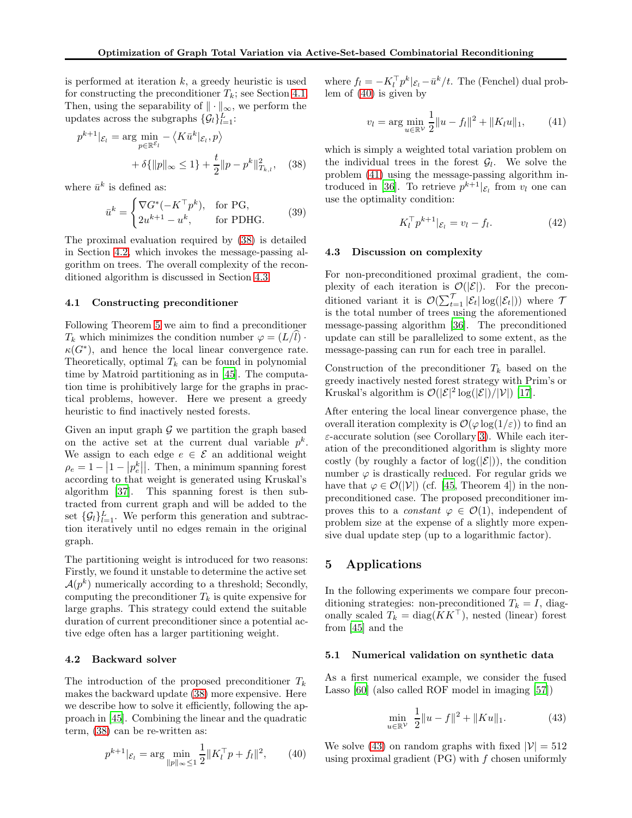is performed at iteration  $k$ , a greedy heuristic is used for constructing the preconditioner  $T_k$ ; see Section [4.1.](#page-5-0) Then, using the separability of  $\|\cdot\|_{\infty}$ , we perform the updates across the subgraphs  $\{\mathcal{G}_l\}_{l=1}^L$ :

$$
p^{k+1}|\varepsilon_{l} = \arg\min_{p \in \mathbb{R}^{\mathcal{E}_{l}}} - \langle K\bar{u}^{k}|\varepsilon_{l}, p \rangle
$$

$$
+ \delta\{\|p\|_{\infty} \le 1\} + \frac{t}{2} \|p - p^{k}\|_{T_{k,l}}^{2}, \quad (38)
$$

where  $\bar{u}^k$  is defined as:

$$
\bar{u}^k = \begin{cases} \nabla G^*(-K^\top p^k), & \text{for PG}, \\ 2u^{k+1} - u^k, & \text{for PHG.} \end{cases} \tag{39}
$$

The proximal evaluation required by [\(38\)](#page-5-1) is detailed in Section [4.2,](#page-5-2) which invokes the message-passing algorithm on trees. The overall complexity of the reconditioned algorithm is discussed in Section [4.3.](#page-5-3)

## <span id="page-5-0"></span>4.1 Constructing preconditioner

Following Theorem [5](#page-4-0) we aim to find a preconditioner  $T_k$  which minimizes the condition number  $\varphi = (L/l) \cdot$  $\kappa(G^*)$ , and hence the local linear convergence rate. Theoretically, optimal  $T_k$  can be found in polynomial time by Matroid partitioning as in [\[45\]](#page-9-3). The computation time is prohibitively large for the graphs in practical problems, however. Here we present a greedy heuristic to find inactively nested forests.

Given an input graph  $\mathcal G$  we partition the graph based on the active set at the current dual variable  $p^k$ . We assign to each edge  $e \in \mathcal{E}$  an additional weight  $\rho_e = 1 - |1 - |p_e^k||$ . Then, a minimum spanning forest according to that weight is generated using Kruskal's algorithm [\[37\]](#page-9-24). This spanning forest is then subtracted from current graph and will be added to the set  $\{\mathcal{G}_l\}_{l=1}^L$ . We perform this generation and subtraction iteratively until no edges remain in the original graph.

The partitioning weight is introduced for two reasons: Firstly, we found it unstable to determine the active set  $\mathcal{A}(p^k)$  numerically according to a threshold; Secondly, computing the preconditioner  $T_k$  is quite expensive for large graphs. This strategy could extend the suitable duration of current preconditioner since a potential active edge often has a larger partitioning weight.

## <span id="page-5-2"></span>4.2 Backward solver

The introduction of the proposed preconditioner  $T_k$ makes the backward update [\(38\)](#page-5-1) more expensive. Here we describe how to solve it efficiently, following the approach in [\[45](#page-9-3)]. Combining the linear and the quadratic term, [\(38\)](#page-5-1) can be re-written as:

<span id="page-5-4"></span>
$$
p^{k+1}|\varepsilon_{l} = \arg\min_{\|p\|_{\infty} \leq 1} \frac{1}{2} \|K_{l}^{\top} p + f_{l}\|^{2}, \qquad (40)
$$

where  $f_l = -K_l^{\top} p^k | \varepsilon_l - \bar{u}^k / t$ . The (Fenchel) dual problem of [\(40\)](#page-5-4) is given by

<span id="page-5-5"></span>
$$
v_l = \arg\min_{u \in \mathbb{R}^{\mathcal{V}}} \frac{1}{2} ||u - f_l||^2 + ||K_l u||_1, \qquad (41)
$$

<span id="page-5-1"></span>which is simply a weighted total variation problem on the individual trees in the forest  $\mathcal{G}_l$ . We solve the problem [\(41\)](#page-5-5) using the message-passing algorithm in-troduced in [\[36](#page-9-5)]. To retrieve  $p^{k+1} | \varepsilon_i$  from  $v_i$  one can use the optimality condition:

$$
K_l^{\top} p^{k+1} |_{\mathcal{E}_l} = v_l - f_l. \tag{42}
$$

#### <span id="page-5-3"></span>4.3 Discussion on complexity

For non-preconditioned proximal gradient, the complexity of each iteration is  $\mathcal{O}(|\mathcal{E}|)$ . For the preconditioned variant it is  $\mathcal{O}(\sum_{t=1}^{\mathcal{T}}|\mathcal{E}_t|\log(|\mathcal{E}_t|))$  where  $\mathcal{T}$ is the total number of trees using the aforementioned message-passing algorithm [\[36](#page-9-5)]. The preconditioned update can still be parallelized to some extent, as the message-passing can run for each tree in parallel.

Construction of the preconditioner  $T_k$  based on the greedy inactively nested forest strategy with Prim's or Kruskal's algorithm is  $\mathcal{O}(|\mathcal{E}|^2 \log(|\mathcal{E}|)/|\mathcal{V}|)$  [\[17\]](#page-8-23).

After entering the local linear convergence phase, the overall iteration complexity is  $\mathcal{O}(\varphi \log(1/\varepsilon))$  to find an  $\varepsilon$ -accurate solution (see Corollary [3\)](#page-3-4). While each iteration of the preconditioned algorithm is slighty more costly (by roughly a factor of  $log(|\mathcal{E}|)$ ), the condition number  $\varphi$  is drastically reduced. For regular grids we have that  $\varphi \in \mathcal{O}(|\mathcal{V}|)$  (cf. [\[45,](#page-9-3) Theorem 4]) in the nonpreconditioned case. The proposed preconditioner improves this to a *constant*  $\varphi \in \mathcal{O}(1)$ , independent of problem size at the expense of a slightly more expensive dual update step (up to a logarithmic factor).

# 5 Applications

In the following experiments we compare four preconditioning strategies: non-preconditioned  $T_k = I$ , diagonally scaled  $T_k = \text{diag}(KK^{\top})$ , nested (linear) forest from [\[45](#page-9-3)] and the

### 5.1 Numerical validation on synthetic data

As a first numerical example, we consider the fused Lasso [\[60](#page-10-7)] (also called ROF model in imaging [\[57\]](#page-10-8))

<span id="page-5-6"></span>
$$
\min_{u \in \mathbb{R}^V} \frac{1}{2} \|u - f\|^2 + \|Ku\|_1.
$$
 (43)

We solve [\(43\)](#page-5-6) on random graphs with fixed  $|\mathcal{V}| = 512$ using proximal gradient  $(PG)$  with  $f$  chosen uniformly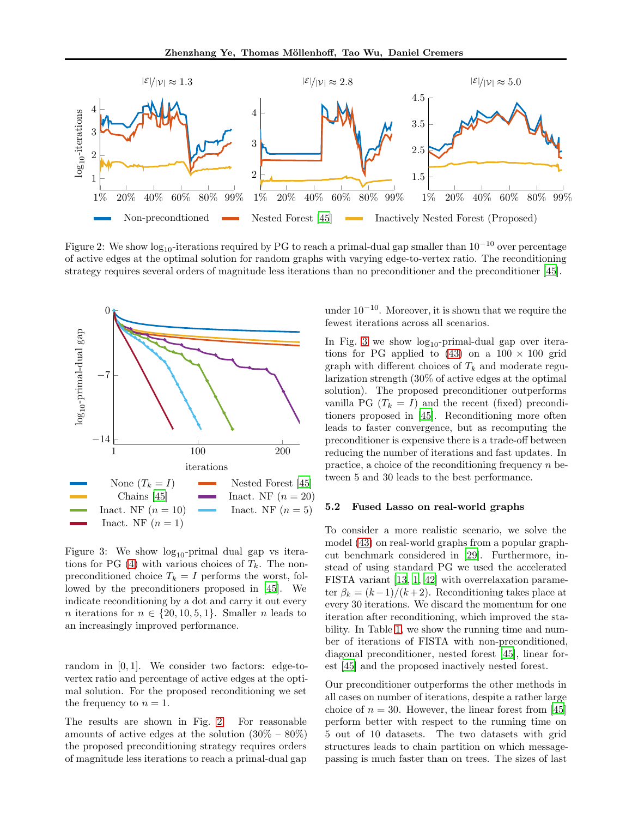

<span id="page-6-1"></span>Figure 2: We show  $\log_{10}$ -iterations required by PG to reach a primal-dual gap smaller than  $10^{-10}$  over percentage of active edges at the optimal solution for random graphs with varying edge-to-vertex ratio. The reconditioning strategy requires several orders of magnitude less iterations than no preconditioner and the preconditioner [\[45](#page-9-3)].



<span id="page-6-0"></span>Figure 3: We show  $log_{10}$ -primal dual gap vs itera-tions for PG [\(4\)](#page-1-0) with various choices of  $T_k$ . The nonpreconditioned choice  $T_k = I$  performs the worst, followed by the preconditioners proposed in [\[45](#page-9-3)]. We indicate reconditioning by a dot and carry it out every *n* iterations for  $n \in \{20, 10, 5, 1\}$ . Smaller *n* leads to an increasingly improved performance.

random in [0, 1]. We consider two factors: edge-tovertex ratio and percentage of active edges at the optimal solution. For the proposed reconditioning we set the frequency to  $n = 1$ .

The results are shown in Fig. [2.](#page-6-1) For reasonable amounts of active edges at the solution  $(30\% - 80\%)$ the proposed preconditioning strategy requires orders of magnitude less iterations to reach a primal-dual gap under  $10^{-10}$ . Moreover, it is shown that we require the fewest iterations across all scenarios.

In Fig. [3](#page-6-0) we show  $log_{10}$ -primal-dual gap over iterations for PG applied to  $(43)$  on a  $100 \times 100$  grid graph with different choices of  $T_k$  and moderate regularization strength (30% of active edges at the optimal solution). The proposed preconditioner outperforms vanilla PG  $(T_k = I)$  and the recent (fixed) preconditioners proposed in [\[45\]](#page-9-3). Reconditioning more often leads to faster convergence, but as recomputing the preconditioner is expensive there is a trade-off between reducing the number of iterations and fast updates. In practice, a choice of the reconditioning frequency  $n$  between 5 and 30 leads to the best performance.

#### 5.2 Fused Lasso on real-world graphs

To consider a more realistic scenario, we solve the model [\(43\)](#page-5-6) on real-world graphs from a popular graphcut benchmark considered in [\[29](#page-9-25)]. Furthermore, instead of using standard PG we used the accelerated FISTA variant [\[13](#page-8-24), [1](#page-8-25), [42\]](#page-9-20) with overrelaxation parameter  $\beta_k = (k-1)/(k+2)$ . Reconditioning takes place at every 30 iterations. We discard the momentum for one iteration after reconditioning, which improved the stability. In Table [1,](#page-7-0) we show the running time and number of iterations of FISTA with non-preconditioned, diagonal preconditioner, nested forest [\[45\]](#page-9-3), linear forest [\[45](#page-9-3)] and the proposed inactively nested forest.

Our preconditioner outperforms the other methods in all cases on number of iterations, despite a rather large choice of  $n = 30$ . However, the linear forest from [\[45](#page-9-3)] perform better with respect to the running time on 5 out of 10 datasets. The two datasets with grid structures leads to chain partition on which messagepassing is much faster than on trees. The sizes of last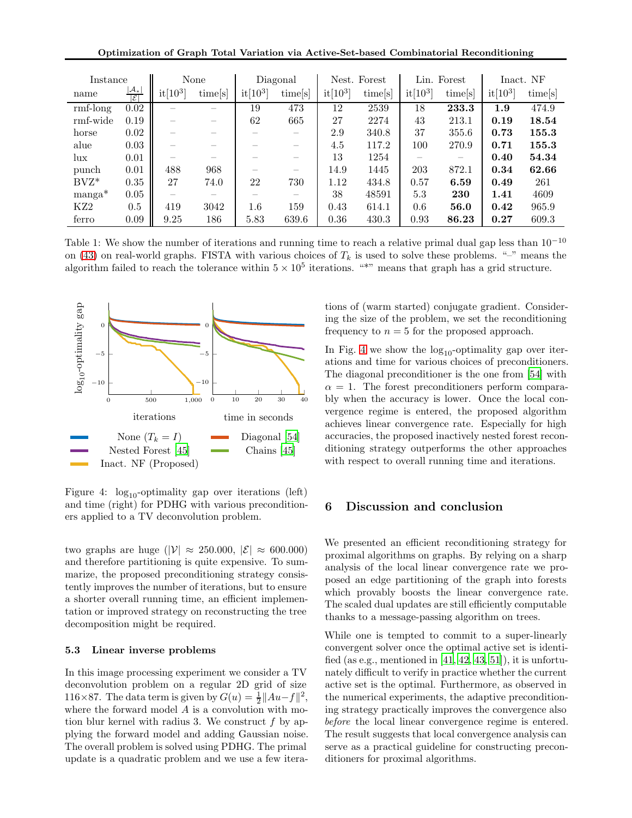Optimization of Graph Total Variation via Active-Set-based Combinatorial Reconditioning

| Instance        |                                      |            | None    |            | Diagonal                 |            | Nest. Forest |            | Lin. Forest |                     | Inact. NF |
|-----------------|--------------------------------------|------------|---------|------------|--------------------------|------------|--------------|------------|-------------|---------------------|-----------|
| name            | $ \mathcal{A}_* $<br>$ \mathcal{E} $ | $it[10^3]$ | time[s] | $it[10^3]$ | time[s]                  | $it[10^3]$ | time[s]      | $it[10^3]$ | times       | $\mathrm{it}[10^3]$ | time[s]   |
| $rmf-long$      | 0.02                                 |            |         | 19         | 473                      | 12         | 2539         | 18         | 233.3       | $1.9\,$             | 474.9     |
| rmf-wide        | 0.19                                 |            |         | 62         | 665                      | 27         | 2274         | 43         | 213.1       | 0.19                | 18.54     |
| horse           | 0.02                                 |            |         |            |                          | 2.9        | 340.8        | 37         | 355.6       | 0.73                | 155.3     |
| alue            | 0.03                                 |            |         |            | $\overline{\phantom{a}}$ | 4.5        | 117.2        | 100        | 270.9       | 0.71                | 155.3     |
| lux             | 0.01                                 |            |         |            | $\overline{\phantom{a}}$ | 13         | 1254         |            |             | 0.40                | 54.34     |
| punch           | 0.01                                 | 488        | 968     |            | $\overline{\phantom{a}}$ | 14.9       | 1445         | 203        | 872.1       | 0.34                | 62.66     |
| $BVZ^*$         | 0.35                                 | 27         | 74.0    | 22         | 730                      | 1.12       | 434.8        | 0.57       | 6.59        | 0.49                | 261       |
| $manga^*$       | 0.05                                 |            |         |            |                          | 38         | 48591        | 5.3        | 230         | 1.41                | 4609      |
| KZ <sub>2</sub> | 0.5                                  | 419        | 3042    | $1.6\,$    | 159                      | 0.43       | 614.1        | 0.6        | 56.0        | 0.42                | 965.9     |
| ferro           | 0.09                                 | 9.25       | 186     | 5.83       | 639.6                    | 0.36       | 430.3        | 0.93       | 86.23       | 0.27                | 609.3     |

<span id="page-7-0"></span>Table 1: We show the number of iterations and running time to reach a relative primal dual gap less than 10−<sup>10</sup> on [\(43\)](#page-5-6) on real-world graphs. FISTA with various choices of  $T_k$  is used to solve these problems. "-" means the algorithm failed to reach the tolerance within  $5 \times 10^5$  iterations. "\*" means that graph has a grid structure.



<span id="page-7-1"></span>Figure 4:  $log_{10}$ -optimality gap over iterations (left) and time (right) for PDHG with various preconditioners applied to a TV deconvolution problem.

two graphs are huge ( $|\mathcal{V}| \approx 250.000, |\mathcal{E}| \approx 600.000$ ) and therefore partitioning is quite expensive. To summarize, the proposed preconditioning strategy consistently improves the number of iterations, but to ensure a shorter overall running time, an efficient implementation or improved strategy on reconstructing the tree decomposition might be required.

### 5.3 Linear inverse problems

In this image processing experiment we consider a TV deconvolution problem on a regular 2D grid of size 116×87. The data term is given by  $G(u) = \frac{1}{2} ||Au - f||^2$ , where the forward model A is a convolution with motion blur kernel with radius 3. We construct  $f$  by applying the forward model and adding Gaussian noise. The overall problem is solved using PDHG. The primal update is a quadratic problem and we use a few iterations of (warm started) conjugate gradient. Considering the size of the problem, we set the reconditioning frequency to  $n = 5$  for the proposed approach.

In Fig. [4](#page-7-1) we show the  $log_{10}$ -optimality gap over iterations and time for various choices of preconditioners. The diagonal preconditioner is the one from [\[54\]](#page-10-0) with  $\alpha = 1$ . The forest preconditioners perform comparably when the accuracy is lower. Once the local convergence regime is entered, the proposed algorithm achieves linear convergence rate. Especially for high accuracies, the proposed inactively nested forest reconditioning strategy outperforms the other approaches with respect to overall running time and iterations.

# 6 Discussion and conclusion

We presented an efficient reconditioning strategy for proximal algorithms on graphs. By relying on a sharp analysis of the local linear convergence rate we proposed an edge partitioning of the graph into forests which provably boosts the linear convergence rate. The scaled dual updates are still efficiently computable thanks to a message-passing algorithm on trees.

While one is tempted to commit to a super-linearly convergent solver once the optimal active set is identified (as e.g., mentioned in  $[41, 42, 43, 51]$  $[41, 42, 43, 51]$  $[41, 42, 43, 51]$  $[41, 42, 43, 51]$ ), it is unfortunately difficult to verify in practice whether the current active set is the optimal. Furthermore, as observed in the numerical experiments, the adaptive preconditioning strategy practically improves the convergence also before the local linear convergence regime is entered. The result suggests that local convergence analysis can serve as a practical guideline for constructing preconditioners for proximal algorithms.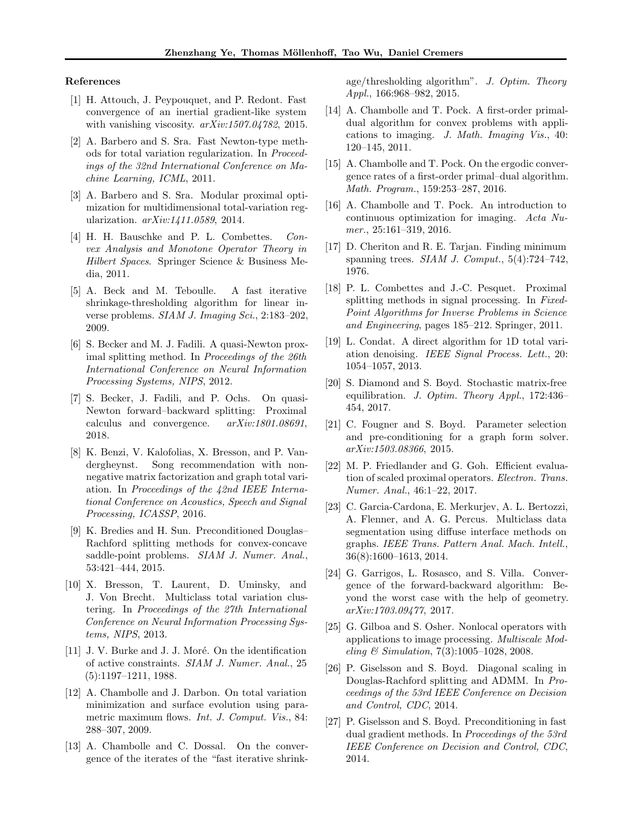#### References

- <span id="page-8-25"></span>[1] H. Attouch, J. Peypouquet, and P. Redont. Fast convergence of an inertial gradient-like system with vanishing viscosity.  $arXiv:1507.04782$ , 2015.
- <span id="page-8-18"></span>[2] A. Barbero and S. Sra. Fast Newton-type methods for total variation regularization. In Proceedings of the 32nd International Conference on Machine Learning, ICML, 2011.
- <span id="page-8-17"></span>[3] A. Barbero and S. Sra. Modular proximal optimization for multidimensional total-variation regularization. arXiv:1411.0589, 2014.
- <span id="page-8-26"></span>[4] H. H. Bauschke and P. L. Combettes. Convex Analysis and Monotone Operator Theory in Hilbert Spaces. Springer Science & Business Media, 2011.
- <span id="page-8-19"></span>[5] A. Beck and M. Teboulle. A fast iterative shrinkage-thresholding algorithm for linear inverse problems. SIAM J. Imaging Sci., 2:183–202, 2009.
- <span id="page-8-9"></span>[6] S. Becker and M. J. Fadili. A quasi-Newton proximal splitting method. In Proceedings of the 26th International Conference on Neural Information Processing Systems, NIPS, 2012.
- <span id="page-8-6"></span>[7] S. Becker, J. Fadili, and P. Ochs. On quasi-Newton forward–backward splitting: Proximal calculus and convergence. arXiv:1801.08691, 2018.
- <span id="page-8-14"></span>[8] K. Benzi, V. Kalofolias, X. Bresson, and P. Vandergheynst. Song recommendation with nonnegative matrix factorization and graph total variation. In Proceedings of the 42nd IEEE International Conference on Acoustics, Speech and Signal Processing, ICASSP, 2016.
- <span id="page-8-4"></span>[9] K. Bredies and H. Sun. Preconditioned Douglas– Rachford splitting methods for convex-concave saddle-point problems. SIAM J. Numer. Anal., 53:421–444, 2015.
- <span id="page-8-12"></span>[10] X. Bresson, T. Laurent, D. Uminsky, and J. Von Brecht. Multiclass total variation clustering. In Proceedings of the 27th International Conference on Neural Information Processing Systems, NIPS, 2013.
- <span id="page-8-22"></span>[11] J. V. Burke and J. J. Moré. On the identification of active constraints. SIAM J. Numer. Anal., 25 (5):1197–1211, 1988.
- <span id="page-8-15"></span>[12] A. Chambolle and J. Darbon. On total variation minimization and surface evolution using parametric maximum flows. Int. J. Comput. Vis., 84: 288–307, 2009.
- <span id="page-8-24"></span>[13] A. Chambolle and C. Dossal. On the convergence of the iterates of the "fast iterative shrink-

age/thresholding algorithm". J. Optim. Theory Appl., 166:968–982, 2015.

- <span id="page-8-11"></span>[14] A. Chambolle and T. Pock. A first-order primaldual algorithm for convex problems with applications to imaging. J. Math. Imaging Vis., 40: 120–145, 2011.
- <span id="page-8-20"></span>[15] A. Chambolle and T. Pock. On the ergodic convergence rates of a first-order primal–dual algorithm. Math. Program., 159:253–287, 2016.
- <span id="page-8-1"></span>[16] A. Chambolle and T. Pock. An introduction to continuous optimization for imaging. Acta Numer., 25:161–319, 2016.
- <span id="page-8-23"></span>[17] D. Cheriton and R. E. Tarjan. Finding minimum spanning trees.  $SIAM$  J. Comput.,  $5(4):724-742$ , 1976.
- <span id="page-8-0"></span>[18] P. L. Combettes and J.-C. Pesquet. Proximal splitting methods in signal processing. In Fixed-Point Algorithms for Inverse Problems in Science and Engineering, pages 185–212. Springer, 2011.
- <span id="page-8-16"></span>[19] L. Condat. A direct algorithm for 1D total variation denoising. IEEE Signal Process. Lett., 20: 1054–1057, 2013.
- <span id="page-8-21"></span>[20] S. Diamond and S. Boyd. Stochastic matrix-free equilibration. J. Optim. Theory Appl., 172:436– 454, 2017.
- <span id="page-8-5"></span>[21] C. Fougner and S. Boyd. Parameter selection and pre-conditioning for a graph form solver. arXiv:1503.08366, 2015.
- <span id="page-8-8"></span>[22] M. P. Friedlander and G. Goh. Efficient evaluation of scaled proximal operators. Electron. Trans. Numer. Anal., 46:1–22, 2017.
- <span id="page-8-13"></span>[23] C. Garcia-Cardona, E. Merkurjev, A. L. Bertozzi, A. Flenner, and A. G. Percus. Multiclass data segmentation using diffuse interface methods on graphs. IEEE Trans. Pattern Anal. Mach. Intell., 36(8):1600–1613, 2014.
- <span id="page-8-7"></span>[24] G. Garrigos, L. Rosasco, and S. Villa. Convergence of the forward-backward algorithm: Beyond the worst case with the help of geometry. arXiv:1703.09477, 2017.
- <span id="page-8-10"></span>[25] G. Gilboa and S. Osher. Nonlocal operators with applications to image processing. Multiscale Modeling  $\&$  Simulation, 7(3):1005–1028, 2008.
- <span id="page-8-2"></span>[26] P. Giselsson and S. Boyd. Diagonal scaling in Douglas-Rachford splitting and ADMM. In Proceedings of the 53rd IEEE Conference on Decision and Control, CDC, 2014.
- <span id="page-8-3"></span>[27] P. Giselsson and S. Boyd. Preconditioning in fast dual gradient methods. In Proceedings of the 53rd IEEE Conference on Decision and Control, CDC, 2014.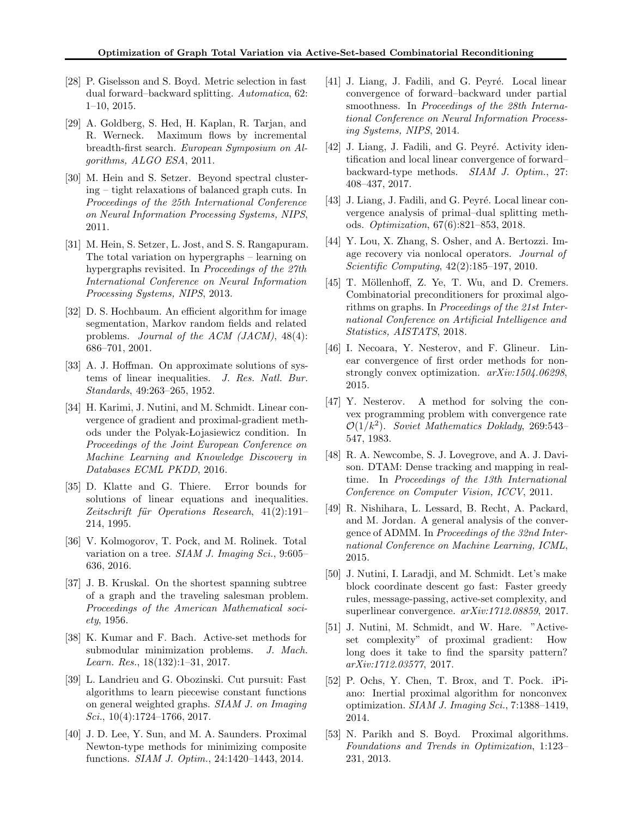- <span id="page-9-2"></span>[28] P. Giselsson and S. Boyd. Metric selection in fast dual forward–backward splitting. Automatica, 62: 1–10, 2015.
- <span id="page-9-25"></span>[29] A. Goldberg, S. Hed, H. Kaplan, R. Tarjan, and R. Werneck. Maximum flows by incremental breadth-first search. European Symposium on Algorithms, ALGO ESA, 2011.
- <span id="page-9-8"></span>[30] M. Hein and S. Setzer. Beyond spectral clustering – tight relaxations of balanced graph cuts. In Proceedings of the 25th International Conference on Neural Information Processing Systems, NIPS, 2011.
- <span id="page-9-9"></span>[31] M. Hein, S. Setzer, L. Jost, and S. S. Rangapuram. The total variation on hypergraphs – learning on hypergraphs revisited. In *Proceedings of the 27th* International Conference on Neural Information Processing Systems, NIPS, 2013.
- <span id="page-9-10"></span>[32] D. S. Hochbaum. An efficient algorithm for image segmentation, Markov random fields and related problems. Journal of the ACM (JACM), 48(4): 686–701, 2001.
- <span id="page-9-15"></span>[33] A. J. Hoffman. On approximate solutions of systems of linear inequalities. J. Res. Natl. Bur. Standards, 49:263–265, 1952.
- <span id="page-9-18"></span>[34] H. Karimi, J. Nutini, and M. Schmidt. Linear convergence of gradient and proximal-gradient methods under the Polyak- Lojasiewicz condition. In Proceedings of the Joint European Conference on Machine Learning and Knowledge Discovery in Databases ECML PKDD, 2016.
- <span id="page-9-16"></span>[35] D. Klatte and G. Thiere. Error bounds for solutions of linear equations and inequalities. Zeitschrift für Operations Research, 41(2):191– 214, 1995.
- <span id="page-9-5"></span>[36] V. Kolmogorov, T. Pock, and M. Rolinek. Total variation on a tree. SIAM J. Imaging Sci., 9:605– 636, 2016.
- <span id="page-9-24"></span>[37] J. B. Kruskal. On the shortest spanning subtree of a graph and the traveling salesman problem. Proceedings of the American Mathematical society, 1956.
- <span id="page-9-11"></span>[38] K. Kumar and F. Bach. Active-set methods for submodular minimization problems. J. Mach. Learn. Res., 18(132):1–31, 2017.
- <span id="page-9-12"></span>[39] L. Landrieu and G. Obozinski. Cut pursuit: Fast algorithms to learn piecewise constant functions on general weighted graphs. SIAM J. on Imaging Sci.,  $10(4):1724-1766$ ,  $2017$ .
- <span id="page-9-1"></span>[40] J. D. Lee, Y. Sun, and M. A. Saunders. Proximal Newton-type methods for minimizing composite functions. SIAM J. Optim., 24:1420–1443, 2014.
- <span id="page-9-19"></span>[41] J. Liang, J. Fadili, and G. Peyré. Local linear convergence of forward–backward under partial smoothness. In Proceedings of the 28th International Conference on Neural Information Processing Systems, NIPS, 2014.
- <span id="page-9-20"></span>[42] J. Liang, J. Fadili, and G. Peyré. Activity identification and local linear convergence of forward– backward-type methods. SIAM J. Optim., 27: 408–437, 2017.
- <span id="page-9-21"></span>[43] J. Liang, J. Fadili, and G. Peyré. Local linear convergence analysis of primal–dual splitting methods. Optimization, 67(6):821–853, 2018.
- <span id="page-9-6"></span>[44] Y. Lou, X. Zhang, S. Osher, and A. Bertozzi. Image recovery via nonlocal operators. Journal of Scientific Computing, 42(2):185–197, 2010.
- <span id="page-9-3"></span>[45] T. Möllenhoff, Z. Ye, T. Wu, and D. Cremers. Combinatorial preconditioners for proximal algorithms on graphs. In Proceedings of the 21st International Conference on Artificial Intelligence and Statistics, AISTATS, 2018.
- <span id="page-9-17"></span>[46] I. Necoara, Y. Nesterov, and F. Glineur. Linear convergence of first order methods for nonstrongly convex optimization. arXiv:1504.06298, 2015.
- <span id="page-9-13"></span>[47] Y. Nesterov. A method for solving the convex programming problem with convergence rate  $\mathcal{O}(1/k^2)$ . Soviet Mathematics Doklady, 269:543-547, 1983.
- <span id="page-9-7"></span>[48] R. A. Newcombe, S. J. Lovegrove, and A. J. Davison. DTAM: Dense tracking and mapping in realtime. In Proceedings of the 13th International Conference on Computer Vision, ICCV, 2011.
- <span id="page-9-4"></span>[49] R. Nishihara, L. Lessard, B. Recht, A. Packard, and M. Jordan. A general analysis of the convergence of ADMM. In Proceedings of the 32nd International Conference on Machine Learning, ICML, 2015.
- <span id="page-9-23"></span>[50] J. Nutini, I. Laradji, and M. Schmidt. Let's make block coordinate descent go fast: Faster greedy rules, message-passing, active-set complexity, and superlinear convergence. arXiv:1712.08859, 2017.
- <span id="page-9-22"></span>[51] J. Nutini, M. Schmidt, and W. Hare. "Activeset complexity" of proximal gradient: How long does it take to find the sparsity pattern? arXiv:1712.03577, 2017.
- <span id="page-9-14"></span>[52] P. Ochs, Y. Chen, T. Brox, and T. Pock. iPiano: Inertial proximal algorithm for nonconvex optimization. SIAM J. Imaging Sci., 7:1388–1419, 2014.
- <span id="page-9-0"></span>[53] N. Parikh and S. Boyd. Proximal algorithms. Foundations and Trends in Optimization, 1:123– 231, 2013.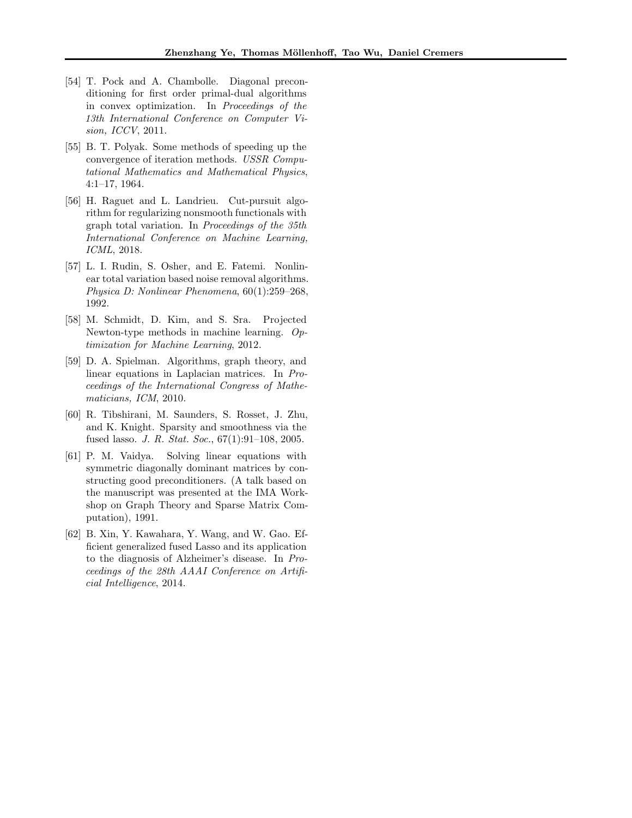- <span id="page-10-0"></span>[54] T. Pock and A. Chambolle. Diagonal preconditioning for first order primal-dual algorithms in convex optimization. In Proceedings of the 13th International Conference on Computer Vision, ICCV, 2011.
- <span id="page-10-4"></span>[55] B. T. Polyak. Some methods of speeding up the convergence of iteration methods. USSR Computational Mathematics and Mathematical Physics, 4:1–17, 1964.
- <span id="page-10-2"></span>[56] H. Raguet and L. Landrieu. Cut-pursuit algorithm for regularizing nonsmooth functionals with graph total variation. In Proceedings of the 35th International Conference on Machine Learning, ICML, 2018.
- <span id="page-10-8"></span>[57] L. I. Rudin, S. Osher, and E. Fatemi. Nonlinear total variation based noise removal algorithms. Physica D: Nonlinear Phenomena, 60(1):259–268, 1992.
- <span id="page-10-3"></span>[58] M. Schmidt, D. Kim, and S. Sra. Projected Newton-type methods in machine learning. Optimization for Machine Learning, 2012.
- <span id="page-10-6"></span>[59] D. A. Spielman. Algorithms, graph theory, and linear equations in Laplacian matrices. In Proceedings of the International Congress of Mathematicians, ICM, 2010.
- <span id="page-10-7"></span>[60] R. Tibshirani, M. Saunders, S. Rosset, J. Zhu, and K. Knight. Sparsity and smoothness via the fused lasso. J. R. Stat. Soc., 67(1):91–108, 2005.
- <span id="page-10-5"></span>[61] P. M. Vaidya. Solving linear equations with symmetric diagonally dominant matrices by constructing good preconditioners. (A talk based on the manuscript was presented at the IMA Workshop on Graph Theory and Sparse Matrix Computation), 1991.
- <span id="page-10-1"></span>[62] B. Xin, Y. Kawahara, Y. Wang, and W. Gao. Efficient generalized fused Lasso and its application to the diagnosis of Alzheimer's disease. In Proceedings of the 28th AAAI Conference on Artificial Intelligence, 2014.